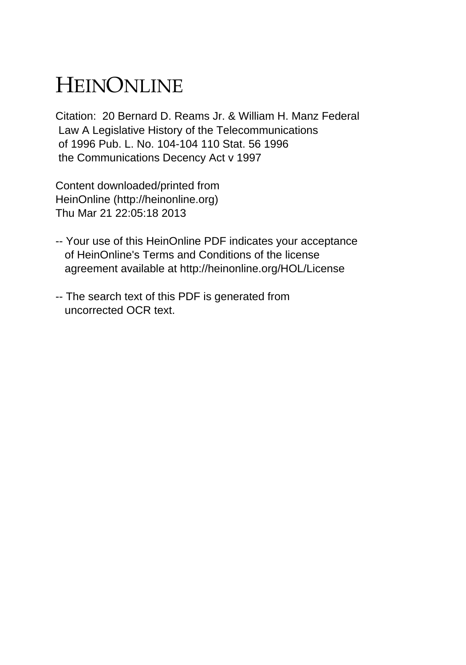## HEINONLINE

Citation: 20 Bernard D. Reams Jr. & William H. Manz Federal Law A Legislative History of the Telecommunications of 1996 Pub. L. No. 104-104 110 Stat. 56 1996 the Communications Decency Act v 1997

Content downloaded/printed from HeinOnline (http://heinonline.org) Thu Mar 21 22:05:18 2013

- -- Your use of this HeinOnline PDF indicates your acceptance of HeinOnline's Terms and Conditions of the license agreement available at http://heinonline.org/HOL/License
- -- The search text of this PDF is generated from uncorrected OCR text.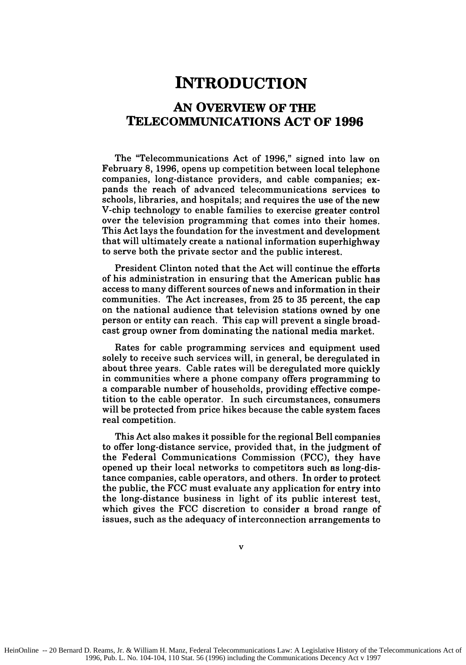## **INTRODUCTION**

## **AN OVERVIEW OF THE TELECOMMUNICATIONS ACT OF 1996**

The "Telecommunications Act of **1996,"** signed into law on February **8, 1996,** opens up competition between local telephone companies, long-distance providers, and cable companies; expands the reach of advanced telecommunications services to schools, libraries, and hospitals; and requires the use of the new V-chip technology to enable families to exercise greater control over the television programming that comes into their homes. This Act lays the foundation for the investment and development that will ultimately create a national information superhighway to serve both the private sector and the public interest.

President Clinton noted that the Act will continue the efforts of his administration in ensuring that the American public has access to many different sources of news and information in their communities. The Act increases, from **25** to **35** percent, the cap on the national audience that television stations owned **by** one person or entity can reach. This cap will prevent a single broadcast group owner from dominating the national media market.

Rates for cable programming services and equipment used solely to receive such services will, in general, be deregulated in about three years. Cable rates will be deregulated more quickly in communities where a phone company offers programming to a comparable number of households, providing effective competition to the cable operator. In such circumstances, consumers will be protected from price hikes because the cable system faces real competition.

This Act also makes it possible for the regional Bell companies to offer long-distance service, provided that, in the judgment of the Federal Communications Commission **(FCC),** they have opened up their local networks to competitors such as long-distance companies, cable operators, and others. Ih order to protect the public, the **FCC** must evaluate any application for entry into the long-distance business in light of its public interest test, which gives the **FCC** discretion to consider a broad range of issues, such as the adequacy of interconnection arrangements to